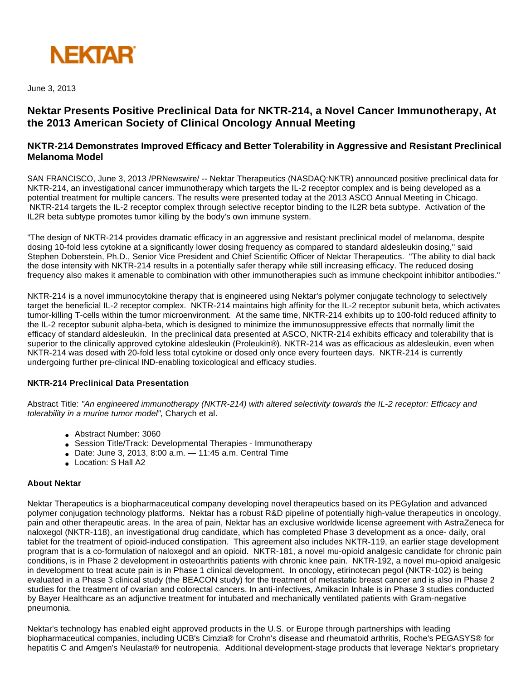

June 3, 2013

# **Nektar Presents Positive Preclinical Data for NKTR-214, a Novel Cancer Immunotherapy, At the 2013 American Society of Clinical Oncology Annual Meeting**

## **NKTR-214 Demonstrates Improved Efficacy and Better Tolerability in Aggressive and Resistant Preclinical Melanoma Model**

SAN FRANCISCO, June 3, 2013 /PRNewswire/ -- Nektar Therapeutics (NASDAQ:NKTR) announced positive preclinical data for NKTR-214, an investigational cancer immunotherapy which targets the IL-2 receptor complex and is being developed as a potential treatment for multiple cancers. The results were presented today at the 2013 ASCO Annual Meeting in Chicago. NKTR-214 targets the IL-2 receptor complex through selective receptor binding to the IL2R beta subtype. Activation of the IL2R beta subtype promotes tumor killing by the body's own immune system.

"The design of NKTR-214 provides dramatic efficacy in an aggressive and resistant preclinical model of melanoma, despite dosing 10-fold less cytokine at a significantly lower dosing frequency as compared to standard aldesleukin dosing," said Stephen Doberstein, Ph.D., Senior Vice President and Chief Scientific Officer of Nektar Therapeutics. "The ability to dial back the dose intensity with NKTR-214 results in a potentially safer therapy while still increasing efficacy. The reduced dosing frequency also makes it amenable to combination with other immunotherapies such as immune checkpoint inhibitor antibodies."

NKTR-214 is a novel immunocytokine therapy that is engineered using Nektar's polymer conjugate technology to selectively target the beneficial IL-2 receptor complex. NKTR-214 maintains high affinity for the IL-2 receptor subunit beta, which activates tumor-killing T-cells within the tumor microenvironment. At the same time, NKTR-214 exhibits up to 100-fold reduced affinity to the IL-2 receptor subunit alpha-beta, which is designed to minimize the immunosuppressive effects that normally limit the efficacy of standard aldesleukin. In the preclinical data presented at ASCO, NKTR-214 exhibits efficacy and tolerability that is superior to the clinically approved cytokine aldesleukin (Proleukin®). NKTR-214 was as efficacious as aldesleukin, even when NKTR-214 was dosed with 20-fold less total cytokine or dosed only once every fourteen days. NKTR-214 is currently undergoing further pre-clinical IND-enabling toxicological and efficacy studies.

### **NKTR-214 Preclinical Data Presentation**

Abstract Title: "An engineered immunotherapy (NKTR-214) with altered selectivity towards the IL-2 receptor: Efficacy and tolerability in a murine tumor model", Charych et al.

- Abstract Number: 3060
- Session Title/Track: Developmental Therapies Immunotherapy
- $\bullet$  Date: June 3, 2013, 8:00 a.m.  $-$  11:45 a.m. Central Time
- Location: S Hall A2

### **About Nektar**

Nektar Therapeutics is a biopharmaceutical company developing novel therapeutics based on its PEGylation and advanced polymer conjugation technology platforms. Nektar has a robust R&D pipeline of potentially high-value therapeutics in oncology, pain and other therapeutic areas. In the area of pain, Nektar has an exclusive worldwide license agreement with AstraZeneca for naloxegol (NKTR-118), an investigational drug candidate, which has completed Phase 3 development as a once- daily, oral tablet for the treatment of opioid-induced constipation. This agreement also includes NKTR-119, an earlier stage development program that is a co-formulation of naloxegol and an opioid. NKTR-181, a novel mu-opioid analgesic candidate for chronic pain conditions, is in Phase 2 development in osteoarthritis patients with chronic knee pain. NKTR-192, a novel mu-opioid analgesic in development to treat acute pain is in Phase 1 clinical development. In oncology, etirinotecan pegol (NKTR-102) is being evaluated in a Phase 3 clinical study (the BEACON study) for the treatment of metastatic breast cancer and is also in Phase 2 studies for the treatment of ovarian and colorectal cancers. In anti-infectives, Amikacin Inhale is in Phase 3 studies conducted by Bayer Healthcare as an adjunctive treatment for intubated and mechanically ventilated patients with Gram-negative pneumonia.

Nektar's technology has enabled eight approved products in the U.S. or Europe through partnerships with leading biopharmaceutical companies, including UCB's Cimzia® for Crohn's disease and rheumatoid arthritis, Roche's PEGASYS® for hepatitis C and Amgen's Neulasta® for neutropenia. Additional development-stage products that leverage Nektar's proprietary